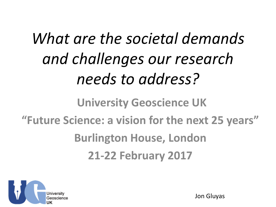# *What are the societal demands and challenges our research needs to address?*

#### **University Geoscience UK "Future Science: a vision for the next 25 years" Burlington House, London 21-22 February 2017**



Jon Gluyas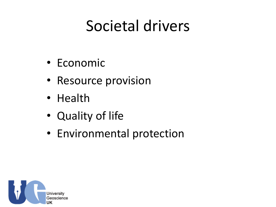### Societal drivers

- Economic
- Resource provision
- Health
- Quality of life
- Environmental protection

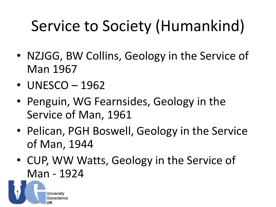## Service to Society (Humankind)

- NZJGG, BW Collins, Geology in the Service of Man 1967
- UNESCO 1962
- Penguin, WG Fearnsides, Geology in the Service of Man, 1961
- Pelican, PGH Boswell, Geology in the Service of Man, 1944
- CUP, WW Watts, Geology in the Service of Man - 1924

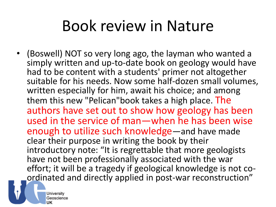### Book review in Nature

• (Boswell) NOT so very long ago, the layman who wanted a simply written and up-to-date book on geology would have had to be content with a students' primer not altogether suitable for his needs. Now some half-dozen small volumes, written especially for him, await his choice; and among them this new "Pelican"book takes a high place. The authors have set out to show how geology has been used in the service of man—when he has been wise enough to utilize such knowledge—and have made clear their purpose in writing the book by their introductory note: "It is regrettable that more geologists have not been professionally associated with the war effort; it will be a tragedy if geological knowledge is not coordinated and directly applied in post-war reconstruction"

Universitv Geoscience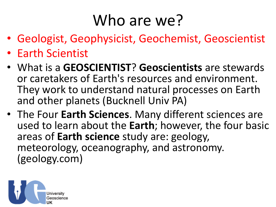### Who are we?

- Geologist, Geophysicist, Geochemist, Geoscientist
- Earth Scientist
- What is a **GEOSCIENTIST**? **Geoscientists** are stewards or caretakers of Earth's resources and environment. They work to understand natural processes on Earth and other planets (Bucknell Univ PA)
- The Four **Earth Sciences**. Many different sciences are used to learn about the **Earth**; however, the four basic areas of **Earth science** study are: geology, meteorology, oceanography, and astronomy. (geology.com)

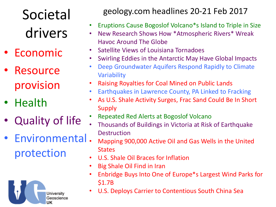Societal drivers

- **Economic**
- **Resource** provision
- Health
- Quality of life
- Environmental protection



geology.com headlines 20-21 Feb 2017

- Eruptions Cause Bogoslof Volcano\*s Island to Triple in Size
- New Research Shows How \*Atmospheric Rivers\* Wreak Havoc Around The Globe
- Satellite Views of Louisiana Tornadoes
- Swirling Eddies in the Antarctic May Have Global Impacts
- Deep Groundwater Aquifers Respond Rapidly to Climate Variability
- Raising Royalties for Coal Mined on Public Lands
- Earthquakes in Lawrence County, PA Linked to Fracking
- As U.S. Shale Activity Surges, Frac Sand Could Be In Short Supply
- Repeated Red Alerts at Bogoslof Volcano
- Thousands of Buildings in Victoria at Risk of Earthquake **Destruction**
- Mapping 900,000 Active Oil and Gas Wells in the United **States**
- U.S. Shale Oil Braces for Inflation
- Big Shale Oil Find in Iran
- Enbridge Buys Into One of Europe\*s Largest Wind Parks for \$1.7B
- U.S. Deploys Carrier to Contentious South China Sea